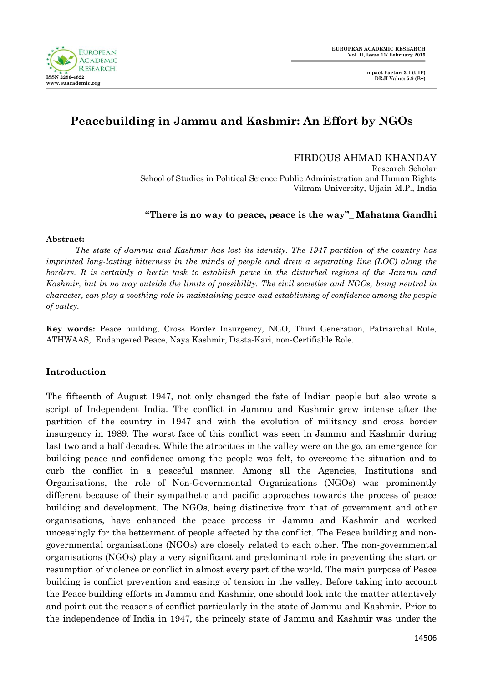

# **Peacebuilding in Jammu and Kashmir: An Effort by NGOs**

FIRDOUS AHMAD KHANDAY

Research Scholar School of Studies in Political Science Public Administration and Human Rights Vikram University, Ujjain-M.P., India

## **"There is no way to peace, peace is the way"\_ Mahatma Gandhi**

#### **Abstract:**

*The state of Jammu and Kashmir has lost its identity. The 1947 partition of the country has imprinted long-lasting bitterness in the minds of people and drew a separating line (LOC) along the borders. It is certainly a hectic task to establish peace in the disturbed regions of the Jammu and Kashmir, but in no way outside the limits of possibility. The civil societies and NGOs, being neutral in character, can play a soothing role in maintaining peace and establishing of confidence among the people of valley.*

**Key words:** Peace building, Cross Border Insurgency, NGO, Third Generation, Patriarchal Rule, ATHWAAS, Endangered Peace, Naya Kashmir, Dasta-Kari, non-Certifiable Role.

## **Introduction**

The fifteenth of August 1947, not only changed the fate of Indian people but also wrote a script of Independent India. The conflict in Jammu and Kashmir grew intense after the partition of the country in 1947 and with the evolution of militancy and cross border insurgency in 1989. The worst face of this conflict was seen in Jammu and Kashmir during last two and a half decades. While the atrocities in the valley were on the go, an emergence for building peace and confidence among the people was felt, to overcome the situation and to curb the conflict in a peaceful manner. Among all the Agencies, Institutions and Organisations, the role of Non-Governmental Organisations (NGOs) was prominently different because of their sympathetic and pacific approaches towards the process of peace building and development. The NGOs, being distinctive from that of government and other organisations, have enhanced the peace process in Jammu and Kashmir and worked unceasingly for the betterment of people affected by the conflict. The Peace building and nongovernmental organisations (NGOs) are closely related to each other. The non-governmental organisations (NGOs) play a very significant and predominant role in preventing the start or resumption of violence or conflict in almost every part of the world. The main purpose of Peace building is conflict prevention and easing of tension in the valley. Before taking into account the Peace building efforts in Jammu and Kashmir, one should look into the matter attentively and point out the reasons of conflict particularly in the state of Jammu and Kashmir. Prior to the independence of India in 1947, the princely state of Jammu and Kashmir was under the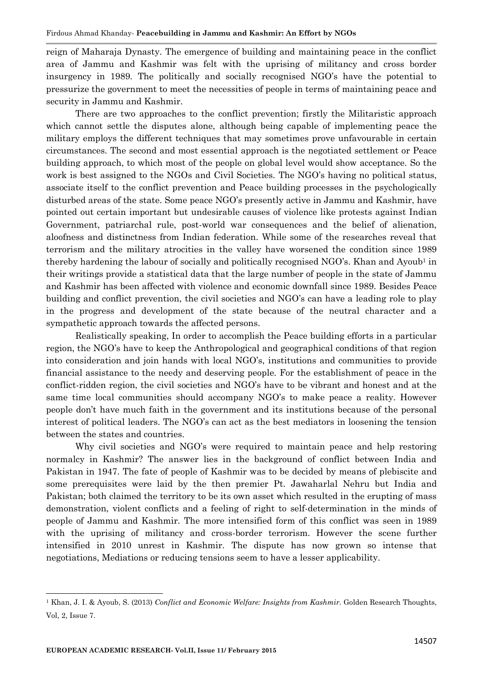reign of Maharaja Dynasty. The emergence of building and maintaining peace in the conflict area of Jammu and Kashmir was felt with the uprising of militancy and cross border insurgency in 1989. The politically and socially recognised NGO's have the potential to pressurize the government to meet the necessities of people in terms of maintaining peace and security in Jammu and Kashmir.

There are two approaches to the conflict prevention; firstly the Militaristic approach which cannot settle the disputes alone, although being capable of implementing peace the military employs the different techniques that may sometimes prove unfavourable in certain circumstances. The second and most essential approach is the negotiated settlement or Peace building approach, to which most of the people on global level would show acceptance. So the work is best assigned to the NGOs and Civil Societies. The NGO's having no political status, associate itself to the conflict prevention and Peace building processes in the psychologically disturbed areas of the state. Some peace NGO's presently active in Jammu and Kashmir, have pointed out certain important but undesirable causes of violence like protests against Indian Government, patriarchal rule, post-world war consequences and the belief of alienation, aloofness and distinctness from Indian federation. While some of the researches reveal that terrorism and the military atrocities in the valley have worsened the condition since 1989 thereby hardening the labour of socially and politically recognised NGO's. Khan and Ayoub<sup>1</sup> in their writings provide a statistical data that the large number of people in the state of Jammu and Kashmir has been affected with violence and economic downfall since 1989. Besides Peace building and conflict prevention, the civil societies and NGO's can have a leading role to play in the progress and development of the state because of the neutral character and a sympathetic approach towards the affected persons.

Realistically speaking, In order to accomplish the Peace building efforts in a particular region, the NGO's have to keep the Anthropological and geographical conditions of that region into consideration and join hands with local NGO's, institutions and communities to provide financial assistance to the needy and deserving people. For the establishment of peace in the conflict-ridden region, the civil societies and NGO's have to be vibrant and honest and at the same time local communities should accompany NGO's to make peace a reality. However people don't have much faith in the government and its institutions because of the personal interest of political leaders. The NGO's can act as the best mediators in loosening the tension between the states and countries.

Why civil societies and NGO's were required to maintain peace and help restoring normalcy in Kashmir? The answer lies in the background of conflict between India and Pakistan in 1947. The fate of people of Kashmir was to be decided by means of plebiscite and some prerequisites were laid by the then premier Pt. Jawaharlal Nehru but India and Pakistan; both claimed the territory to be its own asset which resulted in the erupting of mass demonstration, violent conflicts and a feeling of right to self-determination in the minds of people of Jammu and Kashmir. The more intensified form of this conflict was seen in 1989 with the uprising of militancy and cross-border terrorism. However the scene further intensified in 2010 unrest in Kashmir. The dispute has now grown so intense that negotiations, Mediations or reducing tensions seem to have a lesser applicability.

 $\overline{a}$ 

<sup>1</sup> Khan, J. I. & Ayoub, S. (2013) *Conflict and Economic Welfare: Insights from Kashmir.* Golden Research Thoughts, Vol, 2, Issue 7.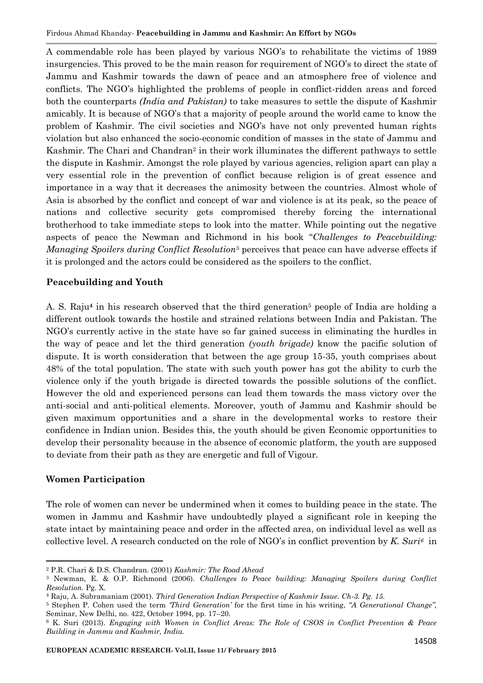A commendable role has been played by various NGO's to rehabilitate the victims of 1989 insurgencies. This proved to be the main reason for requirement of NGO's to direct the state of Jammu and Kashmir towards the dawn of peace and an atmosphere free of violence and conflicts. The NGO's highlighted the problems of people in conflict-ridden areas and forced both the counterparts *(India and Pakistan)* to take measures to settle the dispute of Kashmir amicably. It is because of NGO's that a majority of people around the world came to know the problem of Kashmir. The civil societies and NGO's have not only prevented human rights violation but also enhanced the socio-economic condition of masses in the state of Jammu and Kashmir. The Chari and Chandran<sup>2</sup> in their work illuminates the different pathways to settle the dispute in Kashmir. Amongst the role played by various agencies, religion apart can play a very essential role in the prevention of conflict because religion is of great essence and importance in a way that it decreases the animosity between the countries. Almost whole of Asia is absorbed by the conflict and concept of war and violence is at its peak, so the peace of nations and collective security gets compromised thereby forcing the international brotherhood to take immediate steps to look into the matter. While pointing out the negative aspects of peace the Newman and Richmond in his book "*Challenges to Peacebuilding: Managing Spoilers during Conflict Resolution*<sup>3</sup> perceives that peace can have adverse effects if it is prolonged and the actors could be considered as the spoilers to the conflict.

## **Peacebuilding and Youth**

A. S. Raju<sup>4</sup> in his research observed that the third generation<sup>5</sup> people of India are holding a different outlook towards the hostile and strained relations between India and Pakistan. The NGO's currently active in the state have so far gained success in eliminating the hurdles in the way of peace and let the third generation *(youth brigade)* know the pacific solution of dispute. It is worth consideration that between the age group 15-35, youth comprises about 48% of the total population. The state with such youth power has got the ability to curb the violence only if the youth brigade is directed towards the possible solutions of the conflict. However the old and experienced persons can lead them towards the mass victory over the anti-social and anti-political elements. Moreover, youth of Jammu and Kashmir should be given maximum opportunities and a share in the developmental works to restore their confidence in Indian union. Besides this, the youth should be given Economic opportunities to develop their personality because in the absence of economic platform, the youth are supposed to deviate from their path as they are energetic and full of Vigour.

## **Women Participation**

 $\overline{a}$ 

The role of women can never be undermined when it comes to building peace in the state. The women in Jammu and Kashmir have undoubtedly played a significant role in keeping the state intact by maintaining peace and order in the affected area, on individual level as well as collective level. A research conducted on the role of NGO's in conflict prevention by *K. Suri6* in

<sup>2</sup> P.R. Chari & D.S. Chandran. (2001) *Kashmir: The Road Ahead*

<sup>3</sup> Newman, E. & O.P. Richmond (2006). *Challenges to Peace building: Managing Spoilers during Conflict Resolution.* Pg. X.

<sup>4</sup> Raju, A. Subramaniam (2001). *Third Generation Indian Perspective of Kashmir Issue. Ch-3. Pg. 15.*

<sup>5</sup> Stephen P. Cohen used the term *"Third Generation"* for the first time in his writing, *"A Generational Change",* Seminar, New Delhi, no. 422, October 1994, pp. 17–20.

<sup>6</sup> K. Suri (2013). *Engaging with Women in Conflict Areas: The Role of CSOS in Conflict Prevention & Peace Building in Jammu and Kashmir, India.*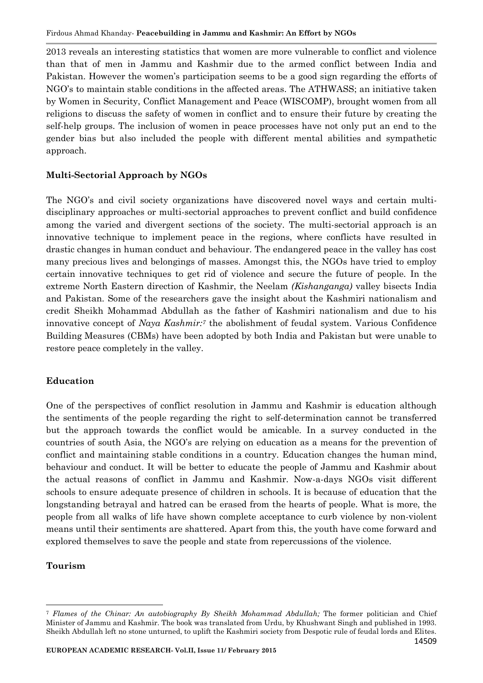2013 reveals an interesting statistics that women are more vulnerable to conflict and violence than that of men in Jammu and Kashmir due to the armed conflict between India and Pakistan. However the women's participation seems to be a good sign regarding the efforts of NGO's to maintain stable conditions in the affected areas. The ATHWASS; an initiative taken by Women in Security, Conflict Management and Peace (WISCOMP), brought women from all religions to discuss the safety of women in conflict and to ensure their future by creating the self-help groups. The inclusion of women in peace processes have not only put an end to the gender bias but also included the people with different mental abilities and sympathetic approach.

## **Multi-Sectorial Approach by NGOs**

The NGO's and civil society organizations have discovered novel ways and certain multidisciplinary approaches or multi-sectorial approaches to prevent conflict and build confidence among the varied and divergent sections of the society. The multi-sectorial approach is an innovative technique to implement peace in the regions, where conflicts have resulted in drastic changes in human conduct and behaviour. The endangered peace in the valley has cost many precious lives and belongings of masses. Amongst this, the NGOs have tried to employ certain innovative techniques to get rid of violence and secure the future of people. In the extreme North Eastern direction of Kashmir, the Neelam *(Kishanganga)* valley bisects India and Pakistan. Some of the researchers gave the insight about the Kashmiri nationalism and credit Sheikh Mohammad Abdullah as the father of Kashmiri nationalism and due to his innovative concept of *Naya Kashmir:<sup>7</sup>* the abolishment of feudal system. Various Confidence Building Measures (CBMs) have been adopted by both India and Pakistan but were unable to restore peace completely in the valley.

## **Education**

One of the perspectives of conflict resolution in Jammu and Kashmir is education although the sentiments of the people regarding the right to self-determination cannot be transferred but the approach towards the conflict would be amicable. In a survey conducted in the countries of south Asia, the NGO's are relying on education as a means for the prevention of conflict and maintaining stable conditions in a country. Education changes the human mind, behaviour and conduct. It will be better to educate the people of Jammu and Kashmir about the actual reasons of conflict in Jammu and Kashmir. Now-a-days NGOs visit different schools to ensure adequate presence of children in schools. It is because of education that the longstanding betrayal and hatred can be erased from the hearts of people. What is more, the people from all walks of life have shown complete acceptance to curb violence by non-violent means until their sentiments are shattered. Apart from this, the youth have come forward and explored themselves to save the people and state from repercussions of the violence.

## **Tourism**

 $\overline{a}$ 

<sup>7</sup> *Flames of the Chinar: An autobiography By Sheikh Mohammad Abdullah;* The former politician and Chief Minister of Jammu and Kashmir. The book was translated from Urdu, by Khushwant Singh and published in 1993. Sheikh Abdullah left no stone unturned, to uplift the Kashmiri society from Despotic rule of feudal lords and Elites.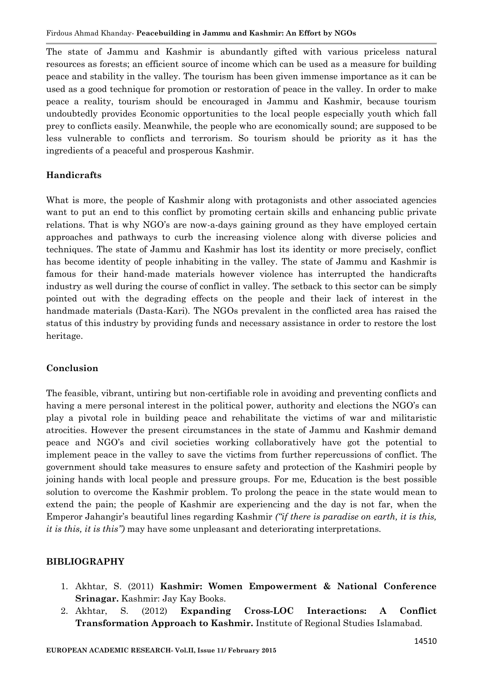The state of Jammu and Kashmir is abundantly gifted with various priceless natural resources as forests; an efficient source of income which can be used as a measure for building peace and stability in the valley. The tourism has been given immense importance as it can be used as a good technique for promotion or restoration of peace in the valley. In order to make peace a reality, tourism should be encouraged in Jammu and Kashmir, because tourism undoubtedly provides Economic opportunities to the local people especially youth which fall prey to conflicts easily. Meanwhile, the people who are economically sound; are supposed to be less vulnerable to conflicts and terrorism. So tourism should be priority as it has the ingredients of a peaceful and prosperous Kashmir.

## **Handicrafts**

What is more, the people of Kashmir along with protagonists and other associated agencies want to put an end to this conflict by promoting certain skills and enhancing public private relations. That is why NGO's are now-a-days gaining ground as they have employed certain approaches and pathways to curb the increasing violence along with diverse policies and techniques. The state of Jammu and Kashmir has lost its identity or more precisely, conflict has become identity of people inhabiting in the valley. The state of Jammu and Kashmir is famous for their hand-made materials however violence has interrupted the handicrafts industry as well during the course of conflict in valley. The setback to this sector can be simply pointed out with the degrading effects on the people and their lack of interest in the handmade materials (Dasta-Kari). The NGOs prevalent in the conflicted area has raised the status of this industry by providing funds and necessary assistance in order to restore the lost heritage.

## **Conclusion**

The feasible, vibrant, untiring but non-certifiable role in avoiding and preventing conflicts and having a mere personal interest in the political power, authority and elections the NGO's can play a pivotal role in building peace and rehabilitate the victims of war and militaristic atrocities. However the present circumstances in the state of Jammu and Kashmir demand peace and NGO's and civil societies working collaboratively have got the potential to implement peace in the valley to save the victims from further repercussions of conflict. The government should take measures to ensure safety and protection of the Kashmiri people by joining hands with local people and pressure groups. For me, Education is the best possible solution to overcome the Kashmir problem. To prolong the peace in the state would mean to extend the pain; the people of Kashmir are experiencing and the day is not far, when the Emperor Jahangir's beautiful lines regarding Kashmir *("if there is paradise on earth, it is this, it is this, it is this")* may have some unpleasant and deteriorating interpretations.

## **BIBLIOGRAPHY**

- 1. Akhtar, S. (2011) **Kashmir: Women Empowerment & National Conference Srinagar.** Kashmir: Jay Kay Books.
- 2. Akhtar, S. (2012) **Expanding Cross-LOC Interactions: A Conflict Transformation Approach to Kashmir.** Institute of Regional Studies Islamabad.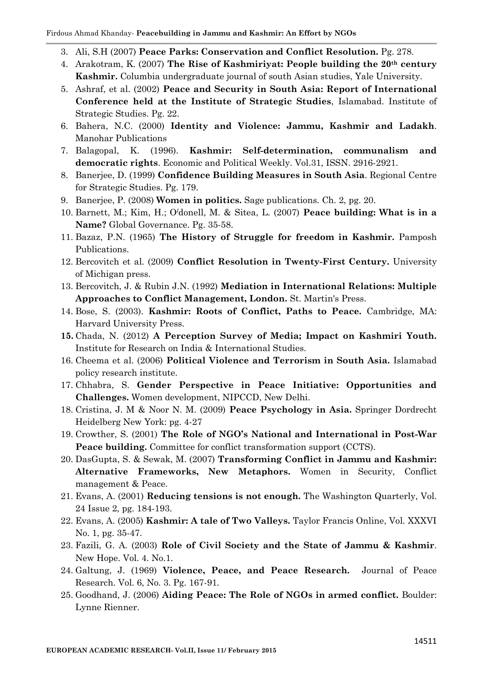- 3. Ali, S.H (2007) **Peace Parks: Conservation and Conflict Resolution.** Pg. 278.
- 4. Arakotram, K. (2007) **The Rise of Kashmiriyat: People building the 20th century Kashmir.** Columbia undergraduate journal of south Asian studies, Yale University.
- 5. Ashraf, et al. (2002) **Peace and Security in South Asia: Report of International Conference held at the Institute of Strategic Studies**, Islamabad. Institute of Strategic Studies. Pg. 22.
- 6. Bahera, N.C. (2000) **Identity and Violence: Jammu, Kashmir and Ladakh**. Manohar Publications
- 7. Balagopal, K. (1996). **Kashmir: Self-determination, communalism and democratic rights**. Economic and Political Weekly. Vol.31, ISSN. 2916-2921.
- 8. Banerjee, D. (1999) **Confidence Building Measures in South Asia**. Regional Centre for Strategic Studies. Pg. 179.
- 9. Banerjee, P. (2008) **Women in politics.** Sage publications. Ch. 2, pg. 20.
- 10. Barnett, M.; Kim, H.; O**/**donell, M. & Sitea, L. (2007) **Peace building: What is in a Name?** Global Governance. Pg. 35-58.
- 11. Bazaz, P.N. (1965) **The History of Struggle for freedom in Kashmir.** Pamposh Publications.
- 12. Bercovitch et al. (2009) **Conflict Resolution in Twenty-First Century.** University of Michigan press.
- 13. Bercovitch, J. & Rubin J.N. (1992) **Mediation in International Relations: Multiple Approaches to Conflict Management, London.** St. Martin's Press.
- 14. Bose, S. (2003). **Kashmir: Roots of Conflict, Paths to Peace.** Cambridge, MA: Harvard University Press.
- **15.** Chada, N. (2012) **A Perception Survey of Media; Impact on Kashmiri Youth.**  Institute for Research on India & International Studies.
- 16. Cheema et al. (2006) **Political Violence and Terrorism in South Asia.** Islamabad policy research institute.
- 17. Chhabra, S. **Gender Perspective in Peace Initiative: Opportunities and Challenges.** Women development, NIPCCD, New Delhi.
- 18. Cristina, J. M & Noor N. M. (2009) **Peace Psychology in Asia.** Springer Dordrecht Heidelberg New York: pg. 4-27
- 19. Crowther, S. (2001) **The Role of NGO's National and International in Post-War Peace building.** Committee for conflict transformation support (CCTS).
- 20. DasGupta, S. & Sewak, M. (2007) **Transforming Conflict in Jammu and Kashmir: Alternative Frameworks, New Metaphors.** Women in Security, Conflict management & Peace.
- 21. Evans, A. (2001) **Reducing tensions is not enough.** The Washington Quarterly, Vol. 24 Issue 2, pg. 184-193.
- 22. Evans, A. (2005) **Kashmir: A tale of Two Valleys.** Taylor Francis Online, Vol. XXXVI No. 1, pg. 35-47.
- 23. Fazili, G. A. (2003) **Role of Civil Society and the State of Jammu & Kashmir**. New Hope. Vol. 4. No.1.
- 24. Galtung, J. (1969) **Violence, Peace, and Peace Research.** Journal of Peace Research. Vol. 6, No. 3. Pg. 167-91.
- 25. Goodhand, J. (2006) **Aiding Peace: The Role of NGOs in armed conflict.** Boulder: Lynne Rienner.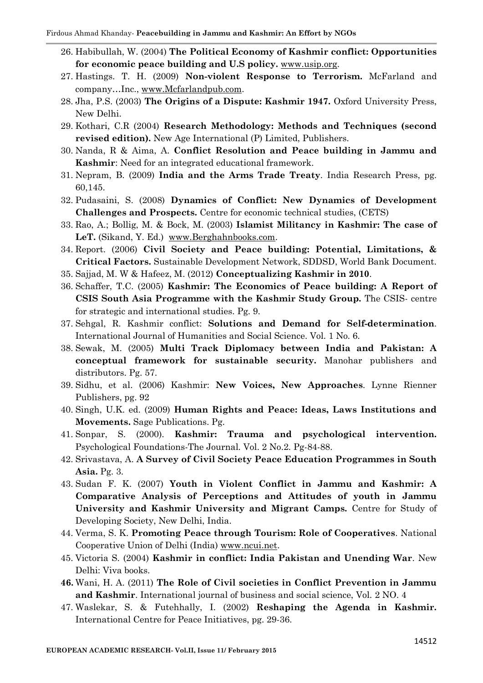- 26. Habibullah, W. (2004) **The Political Economy of Kashmir conflict: Opportunities for economic peace building and U.S policy.** [www.usip.org.](http://www.usip.org/)
- 27. Hastings. T. H. (2009) **Non-violent Response to Terrorism.** McFarland and company…Inc., [www.Mcfarlandpub.com.](http://www.mcfarlandpub.com/)
- 28. Jha, P.S. (2003) **The Origins of a Dispute: Kashmir 1947.** Oxford University Press, New Delhi.
- 29. Kothari, C.R (2004) **Research Methodology: Methods and Techniques (second revised edition).** New Age International (P) Limited, Publishers.
- 30. Nanda, R & Aima, A. **Conflict Resolution and Peace building in Jammu and Kashmir**: Need for an integrated educational framework.
- 31. Nepram, B. (2009) **India and the Arms Trade Treaty**. India Research Press, pg. 60,145.
- 32. Pudasaini, S. (2008) **Dynamics of Conflict: New Dynamics of Development Challenges and Prospects.** Centre for economic technical studies, (CETS)
- 33. Rao, A.; Bollig, M. & Bock, M. (2003) **Islamist Militancy in Kashmir: The case of**  LeT. (Sikand, Y. Ed.) [www.Berghahnbooks.com.](http://www.berghahnbooks.com/)
- 34. Report. (2006) **Civil Society and Peace building: Potential, Limitations, & Critical Factors.** Sustainable Development Network, SDDSD, World Bank Document.
- 35. Sajjad, M. W & Hafeez, M. (2012) **Conceptualizing Kashmir in 2010**.
- 36. Schaffer, T.C. (2005) **Kashmir: The Economics of Peace building: A Report of CSIS South Asia Programme with the Kashmir Study Group.** The CSIS- centre for strategic and international studies. Pg. 9.
- 37. Sehgal, R. Kashmir conflict: **Solutions and Demand for Self-determination**. International Journal of Humanities and Social Science. Vol. 1 No. 6.
- 38. Sewak, M. (2005) **Multi Track Diplomacy between India and Pakistan: A conceptual framework for sustainable security.** Manohar publishers and distributors. Pg. 57.
- 39. Sidhu, et al. (2006) Kashmir: **New Voices, New Approaches**. Lynne Rienner Publishers, pg. 92
- 40. Singh, U.K. ed. (2009) **Human Rights and Peace: Ideas, Laws Institutions and Movements.** Sage Publications. Pg.
- 41. Sonpar, S. (2000). **Kashmir: Trauma and psychological intervention.** Psychological Foundations-The Journal. Vol. 2 No.2. Pg-84-88.
- 42. Srivastava, A. **A Survey of Civil Society Peace Education Programmes in South Asia.** Pg. 3.
- 43. Sudan F. K. (2007) **Youth in Violent Conflict in Jammu and Kashmir: A Comparative Analysis of Perceptions and Attitudes of youth in Jammu University and Kashmir University and Migrant Camps.** Centre for Study of Developing Society, New Delhi, India.
- 44. Verma, S. K. **Promoting Peace through Tourism: Role of Cooperatives**. National Cooperative Union of Delhi (India) [www.ncui.net.](http://www.ncui.net/)
- 45. Victoria S. (2004) **Kashmir in conflict: India Pakistan and Unending War**. New Delhi: Viva books.
- **46.** Wani, H. A. (2011) **The Role of Civil societies in Conflict Prevention in Jammu and Kashmir**. International journal of business and social science, Vol. 2 NO. 4
- 47. Waslekar, S. & Futehhally, I. (2002) **Reshaping the Agenda in Kashmir.** International Centre for Peace Initiatives, pg. 29-36.